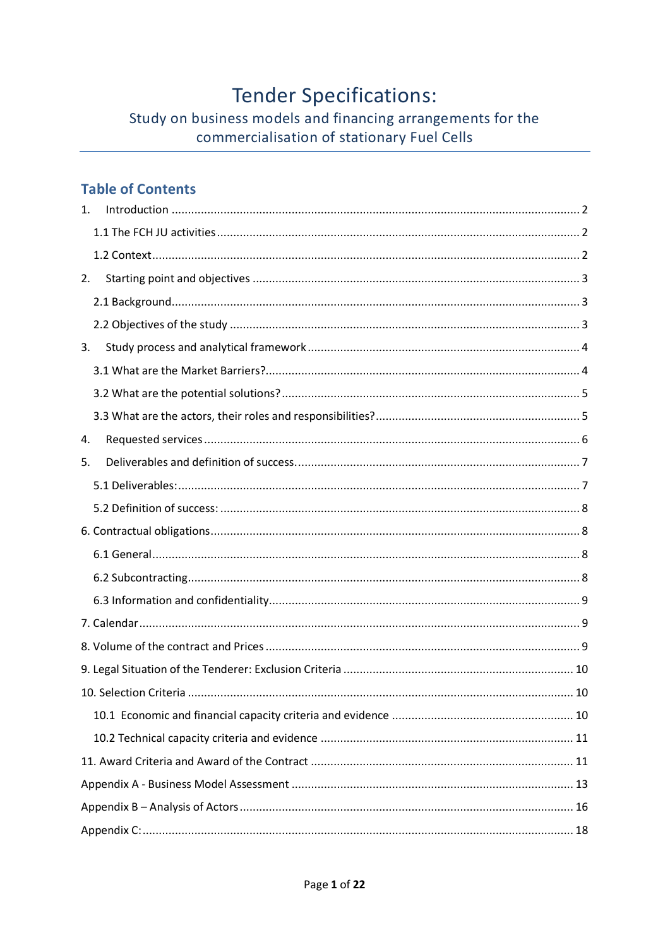# **Tender Specifications:**

# Study on business models and financing arrangements for the commercialisation of stationary Fuel Cells

### **Table of Contents**

| 1. |
|----|
|    |
|    |
| 2. |
|    |
|    |
| 3. |
|    |
|    |
|    |
| 4. |
| 5. |
|    |
|    |
|    |
|    |
|    |
|    |
|    |
|    |
|    |
|    |
|    |
|    |
|    |
|    |
|    |
|    |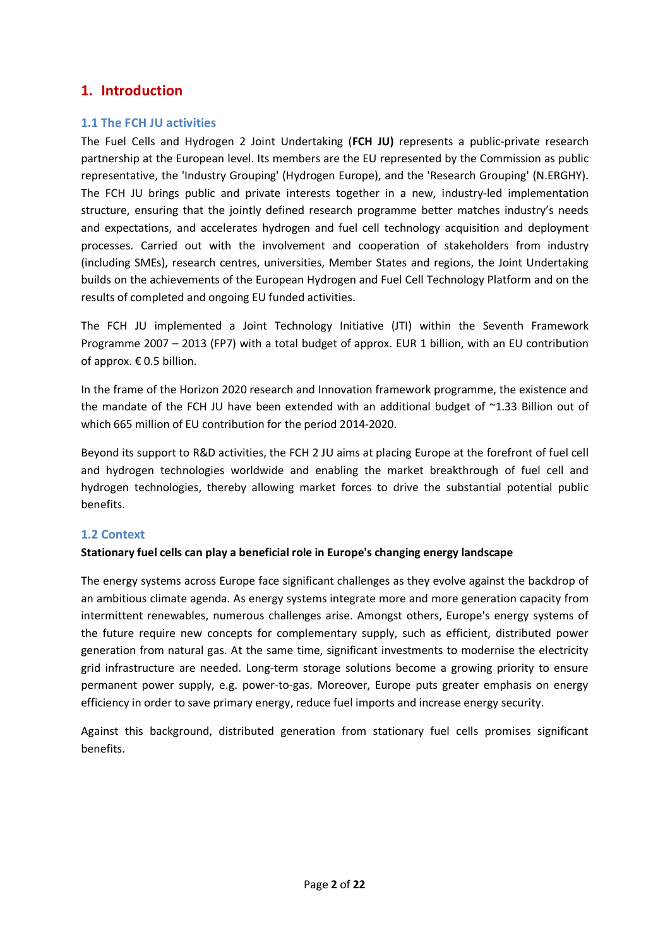### **1. Introduction**

#### **1.1 The FCH JU activities**

The Fuel Cells and Hydrogen 2 Joint Undertaking (**FCH JU)** represents a public-private research partnership at the European level. Its members are the EU represented by the Commission as public representative, the 'Industry Grouping' (Hydrogen Europe), and the 'Research Grouping' (N.ERGHY). The FCH JU brings public and private interests together in a new, industry-led implementation structure, ensuring that the jointly defined research programme better matches industry's needs and expectations, and accelerates hydrogen and fuel cell technology acquisition and deployment processes. Carried out with the involvement and cooperation of stakeholders from industry (including SMEs), research centres, universities, Member States and regions, the Joint Undertaking builds on the achievements of the European Hydrogen and Fuel Cell Technology Platform and on the results of completed and ongoing EU funded activities.

The FCH JU implemented a Joint Technology Initiative (JTI) within the Seventh Framework Programme 2007 – 2013 (FP7) with a total budget of approx. EUR 1 billion, with an EU contribution of approx. € 0.5 billion.

In the frame of the Horizon 2020 research and Innovation framework programme, the existence and the mandate of the FCH JU have been extended with an additional budget of  $\sim$ 1.33 Billion out of which 665 million of EU contribution for the period 2014-2020.

Beyond its support to R&D activities, the FCH 2 JU aims at placing Europe at the forefront of fuel cell and hydrogen technologies worldwide and enabling the market breakthrough of fuel cell and hydrogen technologies, thereby allowing market forces to drive the substantial potential public benefits.

#### **1.2 Context**

#### **Stationary fuel cells can play a beneficial role in Europe's changing energy landscape**

The energy systems across Europe face significant challenges as they evolve against the backdrop of an ambitious climate agenda. As energy systems integrate more and more generation capacity from intermittent renewables, numerous challenges arise. Amongst others, Europe's energy systems of the future require new concepts for complementary supply, such as efficient, distributed power generation from natural gas. At the same time, significant investments to modernise the electricity grid infrastructure are needed. Long-term storage solutions become a growing priority to ensure permanent power supply, e.g. power-to-gas. Moreover, Europe puts greater emphasis on energy efficiency in order to save primary energy, reduce fuel imports and increase energy security.

Against this background, distributed generation from stationary fuel cells promises significant benefits.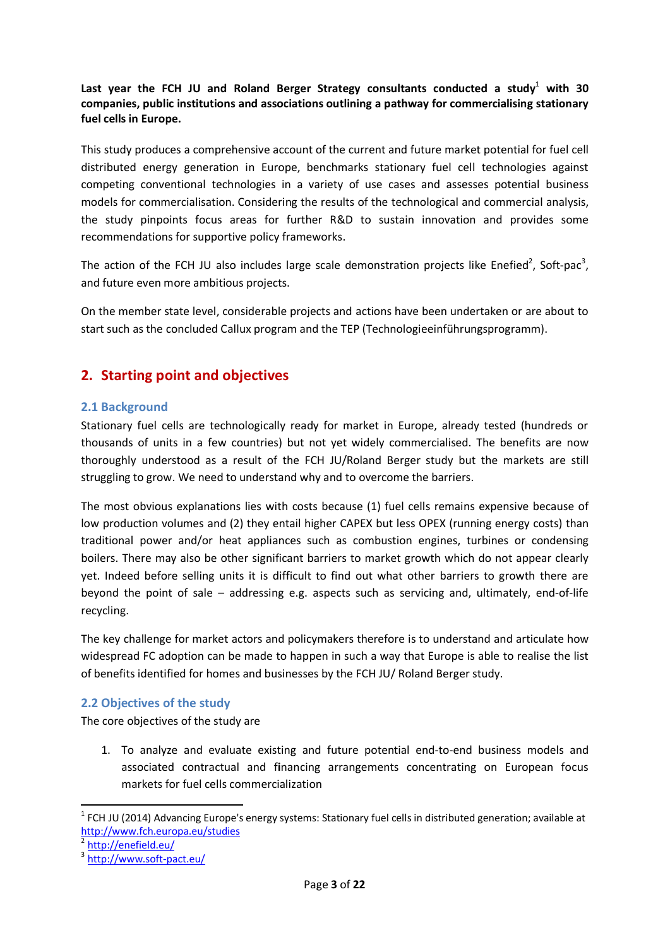Last year the FCH JU and Roland Berger Strategy consultants conducted a study<sup>1</sup> with 30 **companies, public institutions and associations outlining a pathway for commercialising stationary fuel cells in Europe.**

This study produces a comprehensive account of the current and future market potential for fuel cell distributed energy generation in Europe, benchmarks stationary fuel cell technologies against competing conventional technologies in a variety of use cases and assesses potential business models for commercialisation. Considering the results of the technological and commercial analysis, the study pinpoints focus areas for further R&D to sustain innovation and provides some recommendations for supportive policy frameworks.

The action of the FCH JU also includes large scale demonstration projects like Enefied<sup>2</sup>, Soft-pac<sup>3</sup>, and future even more ambitious projects.

On the member state level, considerable projects and actions have been undertaken or are about to start such as the concluded Callux program and the TEP (Technologieeinführungsprogramm).

# **2. Starting point and objectives**

#### **2.1 Background**

Stationary fuel cells are technologically ready for market in Europe, already tested (hundreds or thousands of units in a few countries) but not yet widely commercialised. The benefits are now thoroughly understood as a result of the FCH JU/Roland Berger study but the markets are still struggling to grow. We need to understand why and to overcome the barriers.

The most obvious explanations lies with costs because (1) fuel cells remains expensive because of low production volumes and (2) they entail higher CAPEX but less OPEX (running energy costs) than traditional power and/or heat appliances such as combustion engines, turbines or condensing boilers. There may also be other significant barriers to market growth which do not appear clearly yet. Indeed before selling units it is difficult to find out what other barriers to growth there are beyond the point of sale – addressing e.g. aspects such as servicing and, ultimately, end-of-life recycling.

The key challenge for market actors and policymakers therefore is to understand and articulate how widespread FC adoption can be made to happen in such a way that Europe is able to realise the list of benefits identified for homes and businesses by the FCH JU/ Roland Berger study.

#### **2.2 Objectives of the study**

The core objectives of the study are

1. To analyze and evaluate existing and future potential end-to-end business models and associated contractual and f**i**nancing arrangements concentrating on European focus markets for fuel cells commercialization

 $1$  FCH JU (2014) Advancing Europe's energy systems: Stationary fuel cells in distributed generation; available at http://www.fch.europa.eu/studies

<sup>2</sup> http://enefield.eu/

<sup>3</sup> http://www.soft-pact.eu/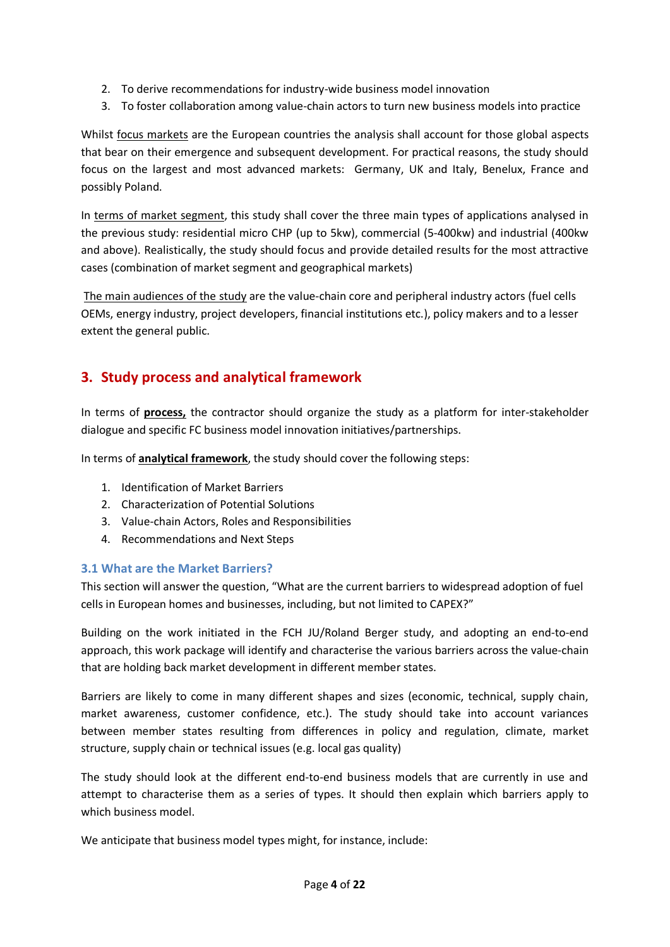- 2. To derive recommendations for industry-wide business model innovation
- 3. To foster collaboration among value-chain actors to turn new business models into practice

Whilst focus markets are the European countries the analysis shall account for those global aspects that bear on their emergence and subsequent development. For practical reasons, the study should focus on the largest and most advanced markets: Germany, UK and Italy, Benelux, France and possibly Poland.

In terms of market segment, this study shall cover the three main types of applications analysed in the previous study: residential micro CHP (up to 5kw), commercial (5-400kw) and industrial (400kw and above). Realistically, the study should focus and provide detailed results for the most attractive cases (combination of market segment and geographical markets)

 The main audiences of the study are the value-chain core and peripheral industry actors (fuel cells OEMs, energy industry, project developers, financial institutions etc.), policy makers and to a lesser extent the general public.

# **3. Study process and analytical framework**

In terms of **process,** the contractor should organize the study as a platform for inter-stakeholder dialogue and specific FC business model innovation initiatives/partnerships.

In terms of **analytical framework**, the study should cover the following steps:

- 1. Identification of Market Barriers
- 2. Characterization of Potential Solutions
- 3. Value-chain Actors, Roles and Responsibilities
- 4. Recommendations and Next Steps

#### **3.1 What are the Market Barriers?**

This section will answer the question, "What are the current barriers to widespread adoption of fuel cells in European homes and businesses, including, but not limited to CAPEX?"

Building on the work initiated in the FCH JU/Roland Berger study, and adopting an end-to-end approach, this work package will identify and characterise the various barriers across the value-chain that are holding back market development in different member states.

Barriers are likely to come in many different shapes and sizes (economic, technical, supply chain, market awareness, customer confidence, etc.). The study should take into account variances between member states resulting from differences in policy and regulation, climate, market structure, supply chain or technical issues (e.g. local gas quality)

The study should look at the different end-to-end business models that are currently in use and attempt to characterise them as a series of types. It should then explain which barriers apply to which business model.

We anticipate that business model types might, for instance, include: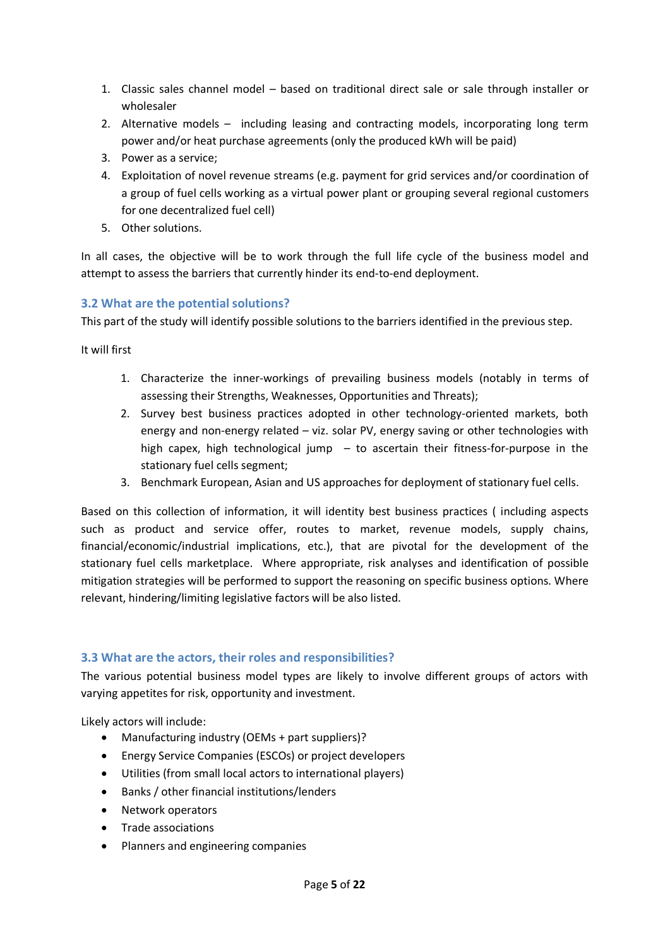- 1. Classic sales channel model based on traditional direct sale or sale through installer or wholesaler
- 2. Alternative models including leasing and contracting models, incorporating long term power and/or heat purchase agreements (only the produced kWh will be paid)
- 3. Power as a service;
- 4. Exploitation of novel revenue streams (e.g. payment for grid services and/or coordination of a group of fuel cells working as a virtual power plant or grouping several regional customers for one decentralized fuel cell)
- 5. Other solutions.

In all cases, the objective will be to work through the full life cycle of the business model and attempt to assess the barriers that currently hinder its end-to-end deployment.

### **3.2 What are the potential solutions?**

This part of the study will identify possible solutions to the barriers identified in the previous step.

It will first

- 1. Characterize the inner-workings of prevailing business models (notably in terms of assessing their Strengths, Weaknesses, Opportunities and Threats);
- 2. Survey best business practices adopted in other technology-oriented markets, both energy and non-energy related – viz. solar PV, energy saving or other technologies with high capex, high technological jump  $-$  to ascertain their fitness-for-purpose in the stationary fuel cells segment;
- 3. Benchmark European, Asian and US approaches for deployment of stationary fuel cells.

Based on this collection of information, it will identity best business practices ( including aspects such as product and service offer, routes to market, revenue models, supply chains, financial/economic/industrial implications, etc.), that are pivotal for the development of the stationary fuel cells marketplace. Where appropriate, risk analyses and identification of possible mitigation strategies will be performed to support the reasoning on specific business options. Where relevant, hindering/limiting legislative factors will be also listed.

### **3.3 What are the actors, their roles and responsibilities?**

The various potential business model types are likely to involve different groups of actors with varying appetites for risk, opportunity and investment.

Likely actors will include:

- Manufacturing industry (OEMs + part suppliers)?
- Energy Service Companies (ESCOs) or project developers
- Utilities (from small local actors to international players)
- Banks / other financial institutions/lenders
- Network operators
- Trade associations
- Planners and engineering companies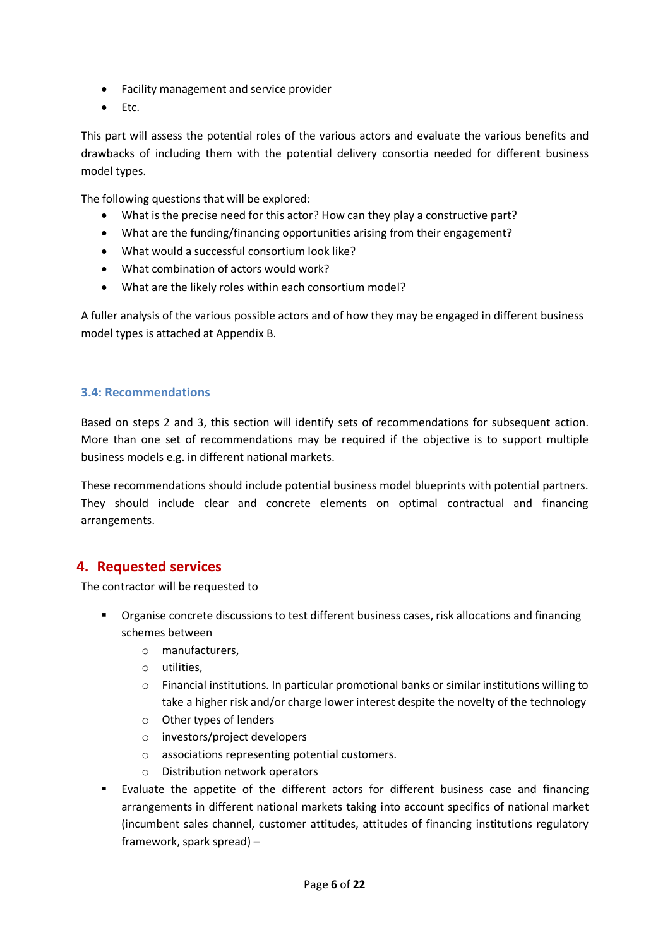- Facility management and service provider
- $\bullet$  Etc.

This part will assess the potential roles of the various actors and evaluate the various benefits and drawbacks of including them with the potential delivery consortia needed for different business model types.

The following questions that will be explored:

- What is the precise need for this actor? How can they play a constructive part?
- What are the funding/financing opportunities arising from their engagement?
- What would a successful consortium look like?
- $\bullet$  What combination of actors would work?
- What are the likely roles within each consortium model?

A fuller analysis of the various possible actors and of how they may be engaged in different business model types is attached at Appendix B.

#### **3.4: Recommendations**

Based on steps 2 and 3, this section will identify sets of recommendations for subsequent action. More than one set of recommendations may be required if the objective is to support multiple business models e.g. in different national markets.

These recommendations should include potential business model blueprints with potential partners. They should include clear and concrete elements on optimal contractual and financing arrangements.

### **4. Requested services**

The contractor will be requested to

- Organise concrete discussions to test different business cases, risk allocations and financing schemes between
	- o manufacturers,
	- o utilities,
	- $\circ$  Financial institutions. In particular promotional banks or similar institutions willing to take a higher risk and/or charge lower interest despite the novelty of the technology
	- o Other types of lenders
	- o investors/project developers
	- o associations representing potential customers.
	- o Distribution network operators
- Evaluate the appetite of the different actors for different business case and financing arrangements in different national markets taking into account specifics of national market (incumbent sales channel, customer attitudes, attitudes of financing institutions regulatory framework, spark spread) –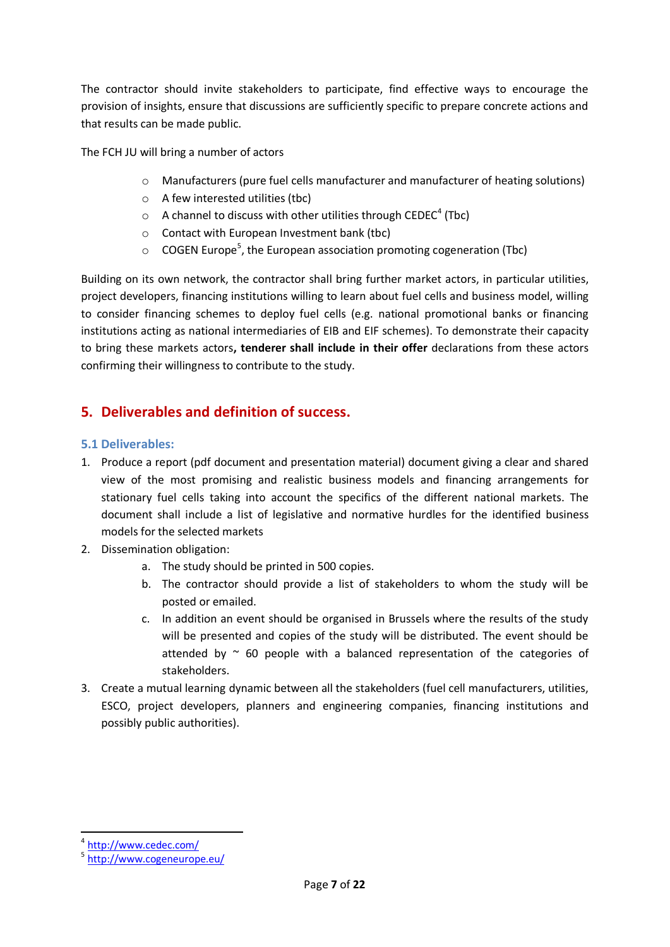The contractor should invite stakeholders to participate, find effective ways to encourage the provision of insights, ensure that discussions are sufficiently specific to prepare concrete actions and that results can be made public.

The FCH JU will bring a number of actors

- o Manufacturers (pure fuel cells manufacturer and manufacturer of heating solutions)
- o A few interested utilities (tbc)
- $\circ$  A channel to discuss with other utilities through CEDEC<sup>4</sup> (Tbc)
- o Contact with European Investment bank (tbc)
- $\circ$  COGEN Europe<sup>5</sup>, the European association promoting cogeneration (Tbc)

Building on its own network, the contractor shall bring further market actors, in particular utilities, project developers, financing institutions willing to learn about fuel cells and business model, willing to consider financing schemes to deploy fuel cells (e.g. national promotional banks or financing institutions acting as national intermediaries of EIB and EIF schemes). To demonstrate their capacity to bring these markets actors**, tenderer shall include in their offer** declarations from these actors confirming their willingness to contribute to the study.

# **5. Deliverables and definition of success.**

#### **5.1 Deliverables:**

- 1. Produce a report (pdf document and presentation material) document giving a clear and shared view of the most promising and realistic business models and financing arrangements for stationary fuel cells taking into account the specifics of the different national markets. The document shall include a list of legislative and normative hurdles for the identified business models for the selected markets
- 2. Dissemination obligation:
	- a. The study should be printed in 500 copies.
	- b. The contractor should provide a list of stakeholders to whom the study will be posted or emailed.
	- c. In addition an event should be organised in Brussels where the results of the study will be presented and copies of the study will be distributed. The event should be attended by  $\sim$  60 people with a balanced representation of the categories of stakeholders.
- 3. Create a mutual learning dynamic between all the stakeholders (fuel cell manufacturers, utilities, ESCO, project developers, planners and engineering companies, financing institutions and possibly public authorities).

<sup>4</sup> http://www.cedec.com/

<sup>&</sup>lt;sup>5</sup> http://www.cogeneurope.eu/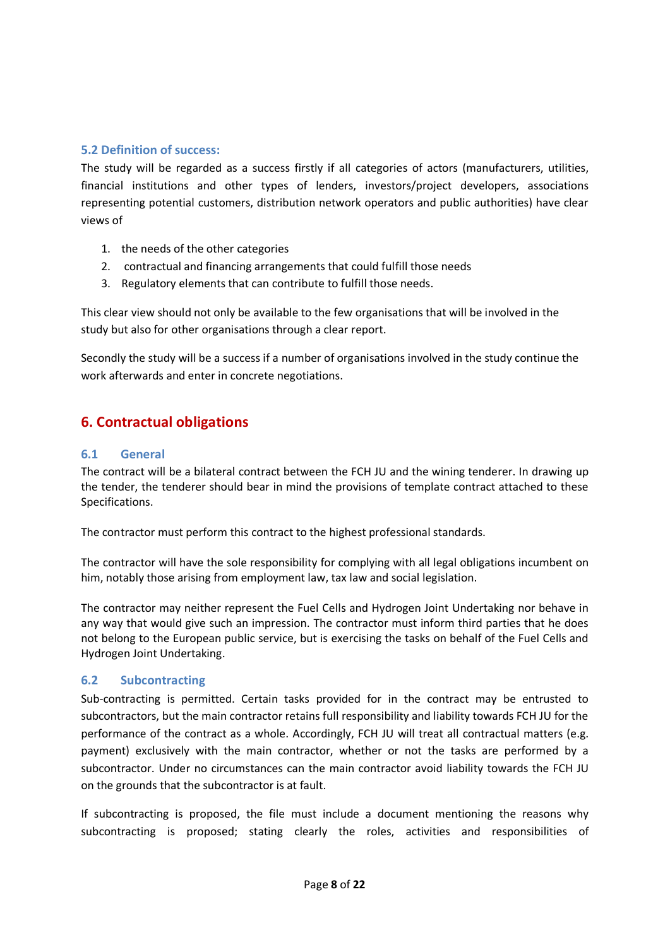#### **5.2 Definition of success:**

The study will be regarded as a success firstly if all categories of actors (manufacturers, utilities, financial institutions and other types of lenders, investors/project developers, associations representing potential customers, distribution network operators and public authorities) have clear views of

- 1. the needs of the other categories
- 2. contractual and financing arrangements that could fulfill those needs
- 3. Regulatory elements that can contribute to fulfill those needs.

This clear view should not only be available to the few organisations that will be involved in the study but also for other organisations through a clear report.

Secondly the study will be a success if a number of organisations involved in the study continue the work afterwards and enter in concrete negotiations.

# **6. Contractual obligations**

#### **6.1 General**

The contract will be a bilateral contract between the FCH JU and the wining tenderer. In drawing up the tender, the tenderer should bear in mind the provisions of template contract attached to these Specifications.

The contractor must perform this contract to the highest professional standards.

The contractor will have the sole responsibility for complying with all legal obligations incumbent on him, notably those arising from employment law, tax law and social legislation.

The contractor may neither represent the Fuel Cells and Hydrogen Joint Undertaking nor behave in any way that would give such an impression. The contractor must inform third parties that he does not belong to the European public service, but is exercising the tasks on behalf of the Fuel Cells and Hydrogen Joint Undertaking.

#### **6.2 Subcontracting**

Sub-contracting is permitted. Certain tasks provided for in the contract may be entrusted to subcontractors, but the main contractor retains full responsibility and liability towards FCH JU for the performance of the contract as a whole. Accordingly, FCH JU will treat all contractual matters (e.g. payment) exclusively with the main contractor, whether or not the tasks are performed by a subcontractor. Under no circumstances can the main contractor avoid liability towards the FCH JU on the grounds that the subcontractor is at fault.

If subcontracting is proposed, the file must include a document mentioning the reasons why subcontracting is proposed; stating clearly the roles, activities and responsibilities of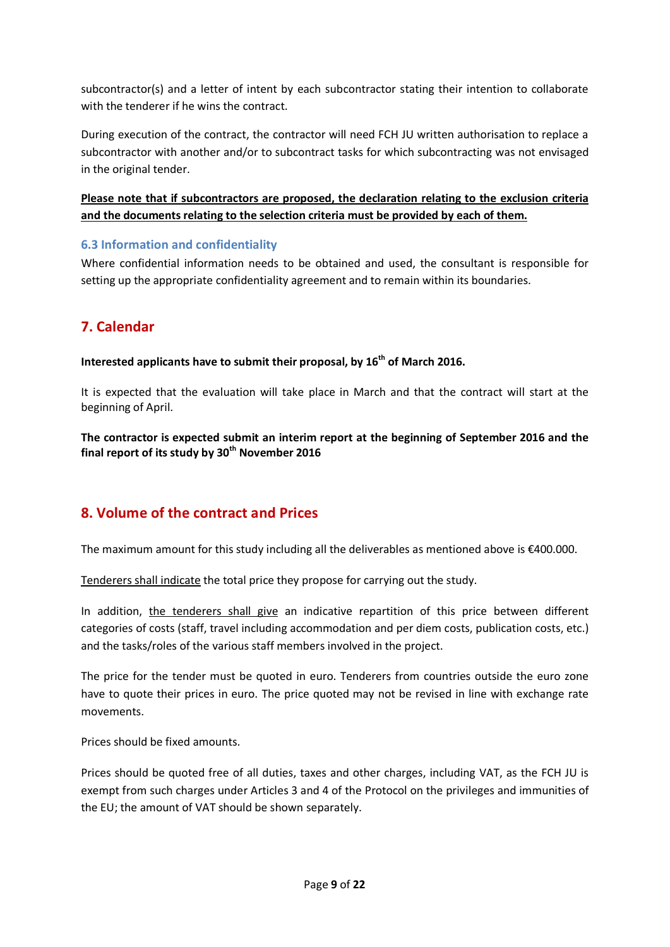subcontractor(s) and a letter of intent by each subcontractor stating their intention to collaborate with the tenderer if he wins the contract.

During execution of the contract, the contractor will need FCH JU written authorisation to replace a subcontractor with another and/or to subcontract tasks for which subcontracting was not envisaged in the original tender.

### **Please note that if subcontractors are proposed, the declaration relating to the exclusion criteria and the documents relating to the selection criteria must be provided by each of them.**

### **6.3 Information and confidentiality**

Where confidential information needs to be obtained and used, the consultant is responsible for setting up the appropriate confidentiality agreement and to remain within its boundaries.

# **7. Calendar**

#### **Interested applicants have to submit their proposal, by 16th of March 2016.**

It is expected that the evaluation will take place in March and that the contract will start at the beginning of April.

**The contractor is expected submit an interim report at the beginning of September 2016 and the final report of its study by 30th November 2016**

### **8. Volume of the contract and Prices**

The maximum amount for this study including all the deliverables as mentioned above is €400.000.

Tenderers shall indicate the total price they propose for carrying out the study.

In addition, the tenderers shall give an indicative repartition of this price between different categories of costs (staff, travel including accommodation and per diem costs, publication costs, etc.) and the tasks/roles of the various staff members involved in the project.

The price for the tender must be quoted in euro. Tenderers from countries outside the euro zone have to quote their prices in euro. The price quoted may not be revised in line with exchange rate movements.

Prices should be fixed amounts.

Prices should be quoted free of all duties, taxes and other charges, including VAT, as the FCH JU is exempt from such charges under Articles 3 and 4 of the Protocol on the privileges and immunities of the EU; the amount of VAT should be shown separately.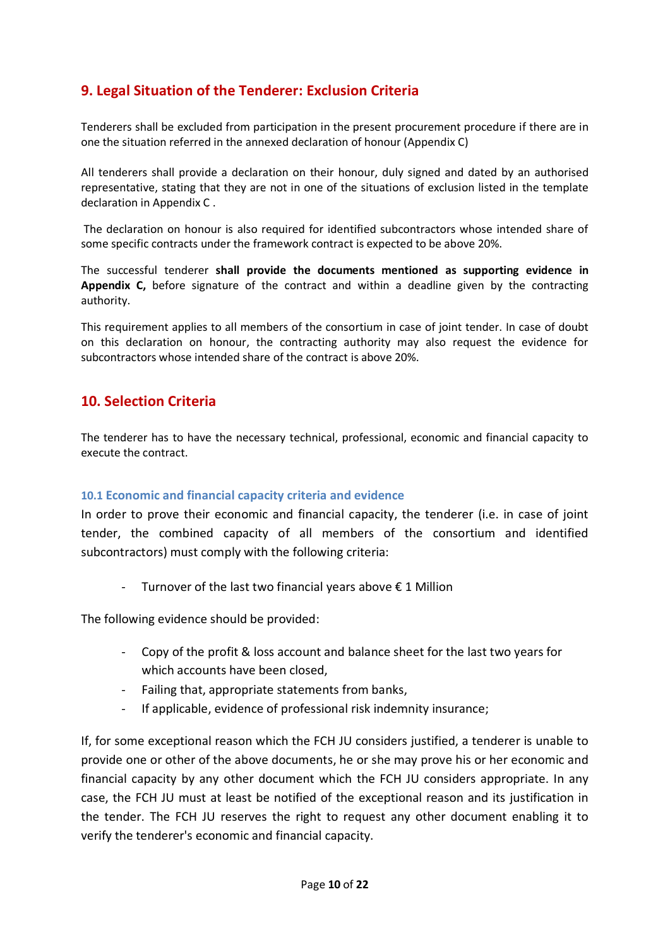# **9. Legal Situation of the Tenderer: Exclusion Criteria**

Tenderers shall be excluded from participation in the present procurement procedure if there are in one the situation referred in the annexed declaration of honour (Appendix C)

All tenderers shall provide a declaration on their honour, duly signed and dated by an authorised representative, stating that they are not in one of the situations of exclusion listed in the template declaration in Appendix C .

 The declaration on honour is also required for identified subcontractors whose intended share of some specific contracts under the framework contract is expected to be above 20%.

The successful tenderer **shall provide the documents mentioned as supporting evidence in Appendix C,** before signature of the contract and within a deadline given by the contracting authority.

This requirement applies to all members of the consortium in case of joint tender. In case of doubt on this declaration on honour, the contracting authority may also request the evidence for subcontractors whose intended share of the contract is above 20%.

### **10. Selection Criteria**

The tenderer has to have the necessary technical, professional, economic and financial capacity to execute the contract.

#### **10.1 Economic and financial capacity criteria and evidence**

In order to prove their economic and financial capacity, the tenderer (i.e. in case of joint tender, the combined capacity of all members of the consortium and identified subcontractors) must comply with the following criteria:

Turnover of the last two financial years above  $\epsilon$  1 Million

The following evidence should be provided:

- Copy of the profit & loss account and balance sheet for the last two years for which accounts have been closed,
- Failing that, appropriate statements from banks,
- If applicable, evidence of professional risk indemnity insurance;

If, for some exceptional reason which the FCH JU considers justified, a tenderer is unable to provide one or other of the above documents, he or she may prove his or her economic and financial capacity by any other document which the FCH JU considers appropriate. In any case, the FCH JU must at least be notified of the exceptional reason and its justification in the tender. The FCH JU reserves the right to request any other document enabling it to verify the tenderer's economic and financial capacity.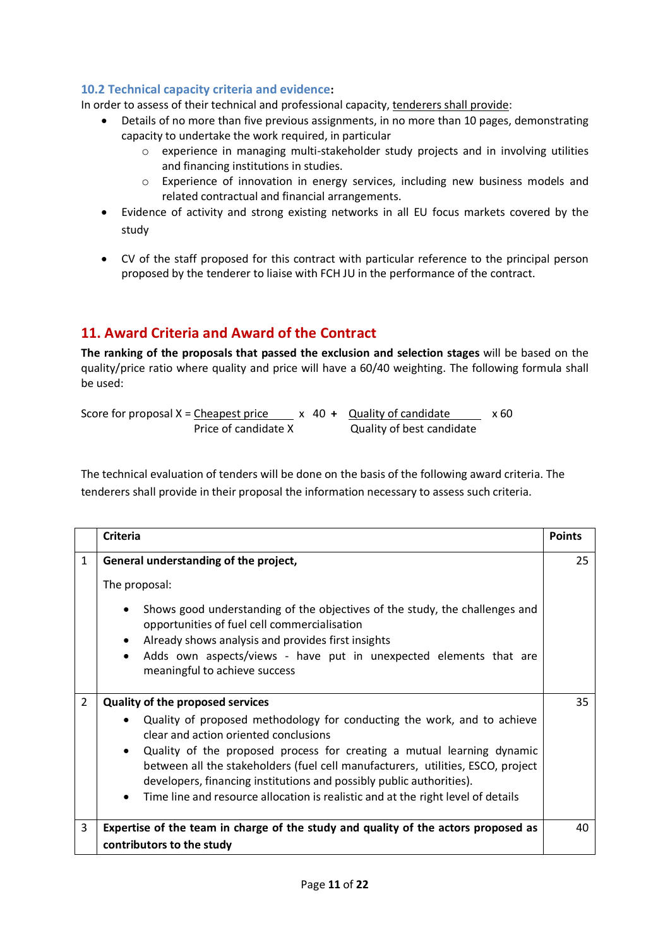### **10.2 Technical capacity criteria and evidence:**

In order to assess of their technical and professional capacity, tenderers shall provide:

- Details of no more than five previous assignments, in no more than 10 pages, demonstrating capacity to undertake the work required, in particular
	- o experience in managing multi-stakeholder study projects and in involving utilities and financing institutions in studies.
	- o Experience of innovation in energy services, including new business models and related contractual and financial arrangements.
- Evidence of activity and strong existing networks in all EU focus markets covered by the study
- CV of the staff proposed for this contract with particular reference to the principal person proposed by the tenderer to liaise with FCH JU in the performance of the contract.

# **11. Award Criteria and Award of the Contract**

**The ranking of the proposals that passed the exclusion and selection stages** will be based on the quality/price ratio where quality and price will have a 60/40 weighting. The following formula shall be used:

Score for proposal  $X =$  Cheapest price  $X = 40 +$  Quality of candidate  $X = 60$ Price of candidate X Quality of best candidate

The technical evaluation of tenders will be done on the basis of the following award criteria. The tenderers shall provide in their proposal the information necessary to assess such criteria.

|                | <b>Criteria</b>                                                                                                                                                                                                                                                                                                                                                                                                                                                                                                | <b>Points</b> |
|----------------|----------------------------------------------------------------------------------------------------------------------------------------------------------------------------------------------------------------------------------------------------------------------------------------------------------------------------------------------------------------------------------------------------------------------------------------------------------------------------------------------------------------|---------------|
| 1              | General understanding of the project,<br>The proposal:<br>Shows good understanding of the objectives of the study, the challenges and<br>$\bullet$<br>opportunities of fuel cell commercialisation<br>Already shows analysis and provides first insights<br>$\bullet$<br>Adds own aspects/views - have put in unexpected elements that are<br>$\bullet$<br>meaningful to achieve success                                                                                                                       | 25            |
| $\overline{2}$ | <b>Quality of the proposed services</b><br>Quality of proposed methodology for conducting the work, and to achieve<br>clear and action oriented conclusions<br>Quality of the proposed process for creating a mutual learning dynamic<br>$\bullet$<br>between all the stakeholders (fuel cell manufacturers, utilities, ESCO, project<br>developers, financing institutions and possibly public authorities).<br>Time line and resource allocation is realistic and at the right level of details<br>$\bullet$ | 35            |
| 3              | Expertise of the team in charge of the study and quality of the actors proposed as<br>contributors to the study                                                                                                                                                                                                                                                                                                                                                                                                | 40            |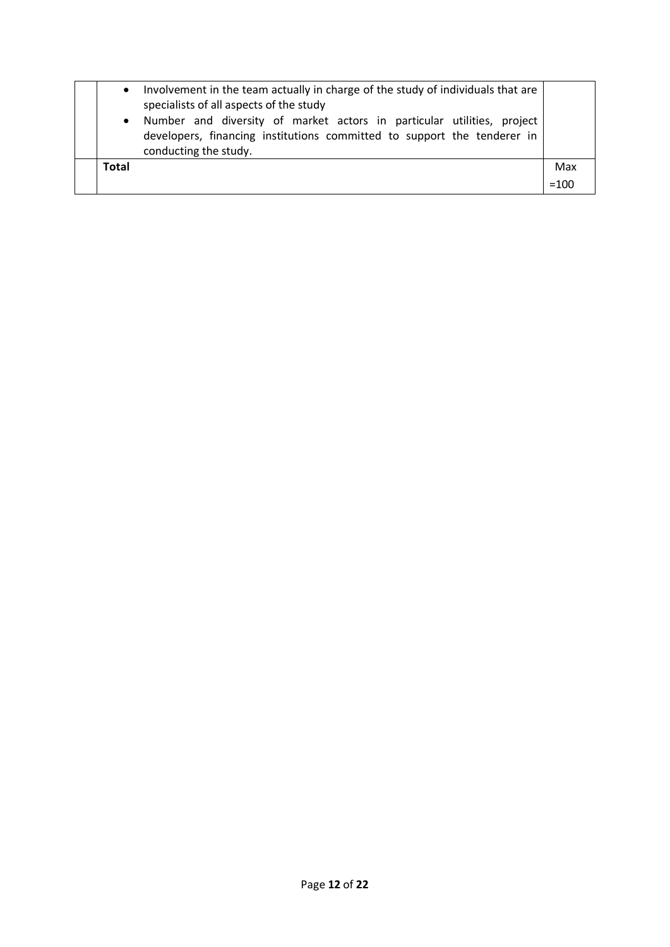| $\bullet$<br>$\bullet$ | Involvement in the team actually in charge of the study of individuals that are<br>specialists of all aspects of the study<br>Number and diversity of market actors in particular utilities, project<br>developers, financing institutions committed to support the tenderer in<br>conducting the study. |        |
|------------------------|----------------------------------------------------------------------------------------------------------------------------------------------------------------------------------------------------------------------------------------------------------------------------------------------------------|--------|
| <b>Total</b>           |                                                                                                                                                                                                                                                                                                          | Max    |
|                        |                                                                                                                                                                                                                                                                                                          | $=100$ |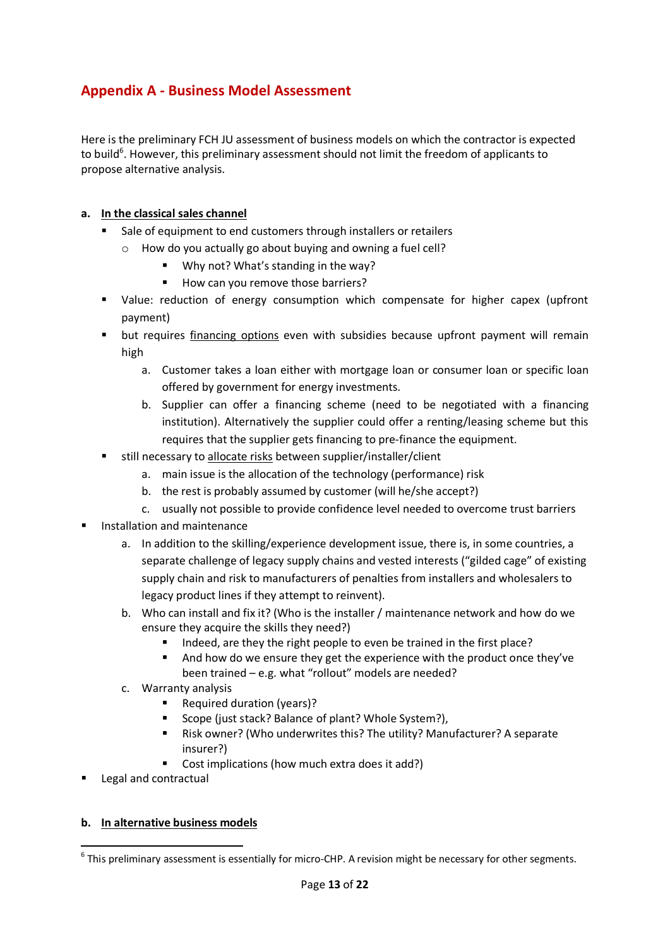# **Appendix A - Business Model Assessment**

Here is the preliminary FCH JU assessment of business models on which the contractor is expected to build<sup>6</sup>. However, this preliminary assessment should not limit the freedom of applicants to propose alternative analysis.

#### **a. In the classical sales channel**

- Sale of equipment to end customers through installers or retailers
	- o How do you actually go about buying and owning a fuel cell?
		- Why not? What's standing in the way?
		- How can you remove those barriers?
- Value: reduction of energy consumption which compensate for higher capex (upfront payment)
- but requires financing options even with subsidies because upfront payment will remain high
	- a. Customer takes a loan either with mortgage loan or consumer loan or specific loan offered by government for energy investments.
	- b. Supplier can offer a financing scheme (need to be negotiated with a financing institution). Alternatively the supplier could offer a renting/leasing scheme but this requires that the supplier gets financing to pre-finance the equipment.
- still necessary to allocate risks between supplier/installer/client
	- a. main issue is the allocation of the technology (performance) risk
	- b. the rest is probably assumed by customer (will he/she accept?)
	- c. usually not possible to provide confidence level needed to overcome trust barriers
- Installation and maintenance
	- a. In addition to the skilling/experience development issue, there is, in some countries, a separate challenge of legacy supply chains and vested interests ("gilded cage" of existing supply chain and risk to manufacturers of penalties from installers and wholesalers to legacy product lines if they attempt to reinvent).
	- b. Who can install and fix it? (Who is the installer / maintenance network and how do we ensure they acquire the skills they need?)
		- Indeed, are they the right people to even be trained in the first place?
		- And how do we ensure they get the experience with the product once they've been trained – e.g. what "rollout" models are needed?
	- c. Warranty analysis
		- Required duration (years)?
		- Scope (just stack? Balance of plant? Whole System?),
		- Risk owner? (Who underwrites this? The utility? Manufacturer? A separate insurer?)
		- Cost implications (how much extra does it add?)
- Legal and contractual

#### **b. In alternative business models**

 $^6$  This preliminary assessment is essentially for micro-CHP. A revision might be necessary for other segments.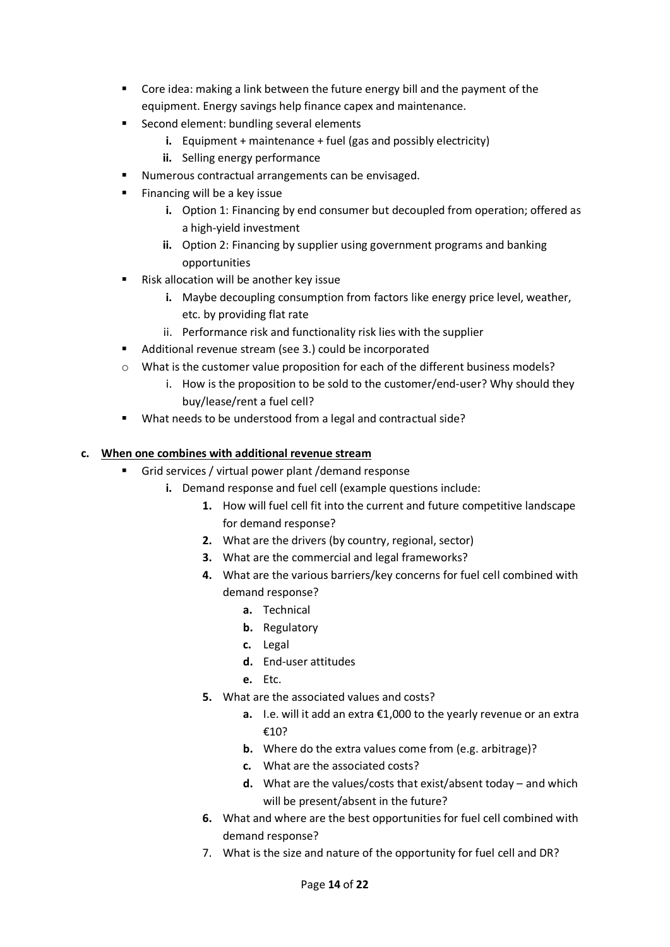- Core idea: making a link between the future energy bill and the payment of the equipment. Energy savings help finance capex and maintenance.
- Second element: bundling several elements
	- **i.** Equipment + maintenance + fuel (gas and possibly electricity)
	- **ii.** Selling energy performance
- Numerous contractual arrangements can be envisaged.
- Financing will be a key issue
	- **i.** Option 1: Financing by end consumer but decoupled from operation; offered as a high-yield investment
	- **ii.** Option 2: Financing by supplier using government programs and banking opportunities
- Risk allocation will be another key issue
	- **i.** Maybe decoupling consumption from factors like energy price level, weather, etc. by providing flat rate
	- ii. Performance risk and functionality risk lies with the supplier
- Additional revenue stream (see 3.) could be incorporated
- $\circ$  What is the customer value proposition for each of the different business models?
	- i. How is the proposition to be sold to the customer/end-user? Why should they buy/lease/rent a fuel cell?
- What needs to be understood from a legal and contractual side?

#### **c. When one combines with additional revenue stream**

- Grid services / virtual power plant /demand response
	- **i.** Demand response and fuel cell (example questions include:
		- **1.** How will fuel cell fit into the current and future competitive landscape for demand response?
		- **2.** What are the drivers (by country, regional, sector)
		- **3.** What are the commercial and legal frameworks?
		- **4.** What are the various barriers/key concerns for fuel cell combined with demand response?
			- **a.** Technical
			- **b.** Regulatory
			- **c.** Legal
			- **d.** End-user attitudes
			- **e.** Etc.
		- **5.** What are the associated values and costs?
			- **a.** I.e. will it add an extra €1,000 to the yearly revenue or an extra €10?
			- **b.** Where do the extra values come from (e.g. arbitrage)?
			- **c.** What are the associated costs?
			- **d.** What are the values/costs that exist/absent today and which will be present/absent in the future?
		- **6.** What and where are the best opportunities for fuel cell combined with demand response?
		- 7. What is the size and nature of the opportunity for fuel cell and DR?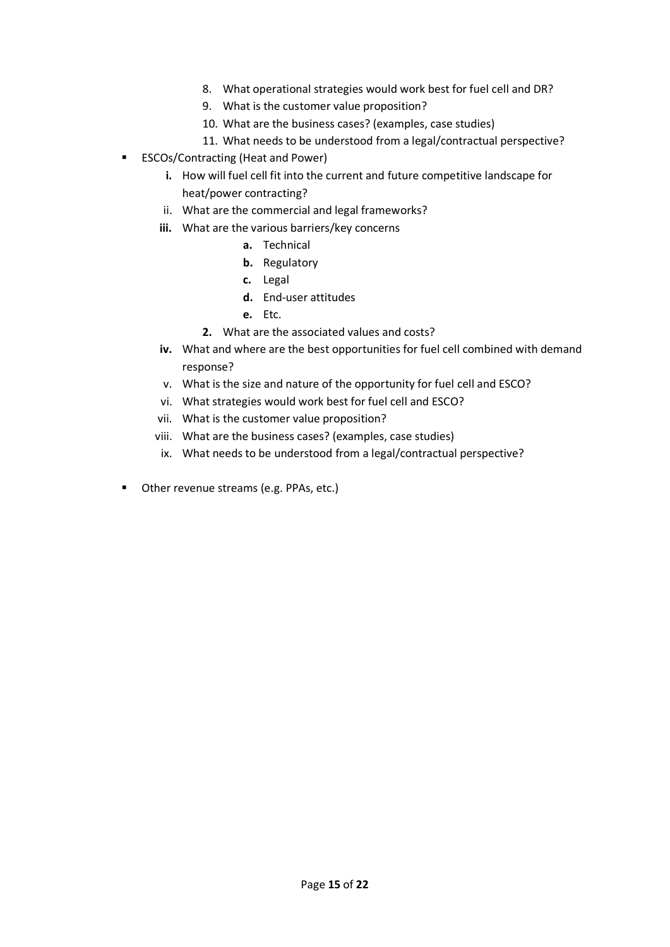- 8. What operational strategies would work best for fuel cell and DR?
- 9. What is the customer value proposition?
- 10. What are the business cases? (examples, case studies)
- 11. What needs to be understood from a legal/contractual perspective?
- ESCOs/Contracting (Heat and Power)
	- **i.** How will fuel cell fit into the current and future competitive landscape for heat/power contracting?
	- ii. What are the commercial and legal frameworks?
	- **iii.** What are the various barriers/key concerns
		- **a.** Technical
		- **b.** Regulatory
		- **c.** Legal
		- **d.** End-user attitudes
		- **e.** Etc.
		- **2.** What are the associated values and costs?
	- **iv.** What and where are the best opportunities for fuel cell combined with demand response?
	- v. What is the size and nature of the opportunity for fuel cell and ESCO?
	- vi. What strategies would work best for fuel cell and ESCO?
	- vii. What is the customer value proposition?
	- viii. What are the business cases? (examples, case studies)
	- ix. What needs to be understood from a legal/contractual perspective?
- Other revenue streams (e.g. PPAs, etc.)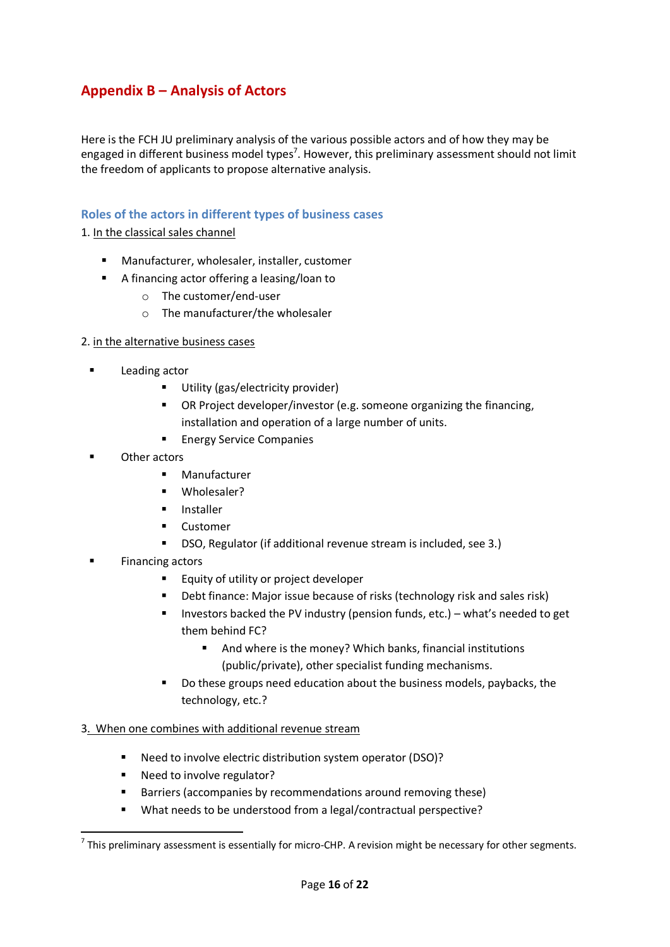# **Appendix B – Analysis of Actors**

Here is the FCH JU preliminary analysis of the various possible actors and of how they may be engaged in different business model types<sup>7</sup>. However, this preliminary assessment should not limit the freedom of applicants to propose alternative analysis.

#### **Roles of the actors in different types of business cases**

1. In the classical sales channel

- Manufacturer, wholesaler, installer, customer
- A financing actor offering a leasing/loan to
	- o The customer/end-user
	- o The manufacturer/the wholesaler

#### 2. in the alternative business cases

- Leading actor
	- **Utility (gas/electricity provider)**
	- OR Project developer/investor (e.g. someone organizing the financing, installation and operation of a large number of units.
	- **Energy Service Companies**
- Other actors
	- **Manufacturer**
	- **■** Wholesaler?
	- **Installer**
	- **Customer**
	- DSO, Regulator (if additional revenue stream is included, see 3.)
- Financing actors
	- Equity of utility or project developer
	- Debt finance: Major issue because of risks (technology risk and sales risk)
	- Investors backed the PV industry (pension funds, etc.) what's needed to get them behind FC?
		- And where is the money? Which banks, financial institutions (public/private), other specialist funding mechanisms.
	- Do these groups need education about the business models, paybacks, the technology, etc.?

#### 3. When one combines with additional revenue stream

- Need to involve electric distribution system operator (DSO)?
- Need to involve regulator?
- **Barriers (accompanies by recommendations around removing these)**
- What needs to be understood from a legal/contractual perspective?

 $^7$  This preliminary assessment is essentially for micro-CHP. A revision might be necessary for other segments.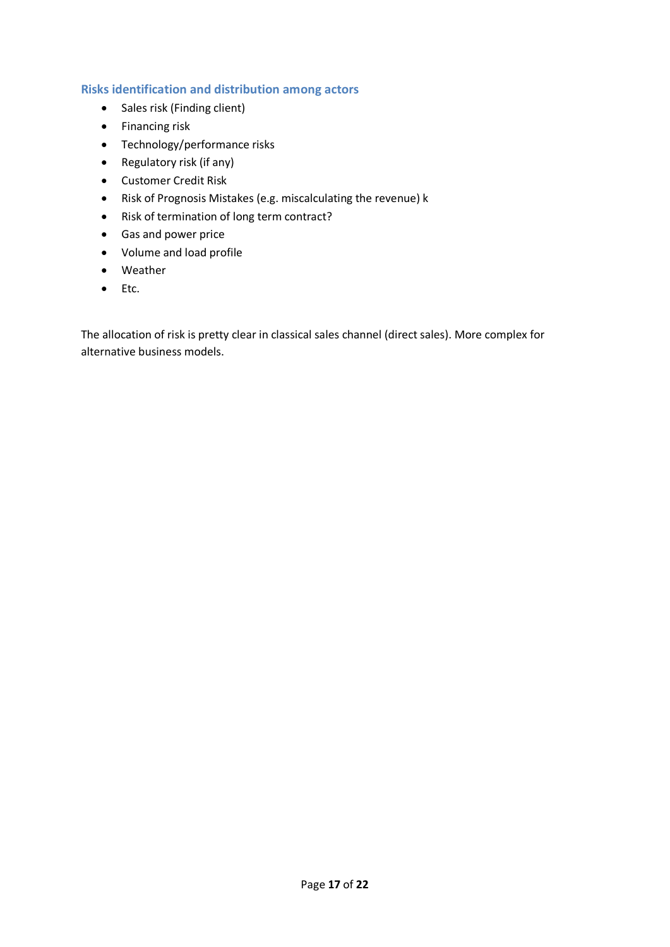#### **Risks identification and distribution among actors**

- Sales risk (Finding client)
- Financing risk
- Technology/performance risks
- $\bullet$  Regulatory risk (if any)
- **•** Customer Credit Risk
- Risk of Prognosis Mistakes (e.g. miscalculating the revenue) k
- Risk of termination of long term contract?
- Gas and power price
- Volume and load profile
- Weather
- $\bullet$  Etc.

The allocation of risk is pretty clear in classical sales channel (direct sales). More complex for alternative business models.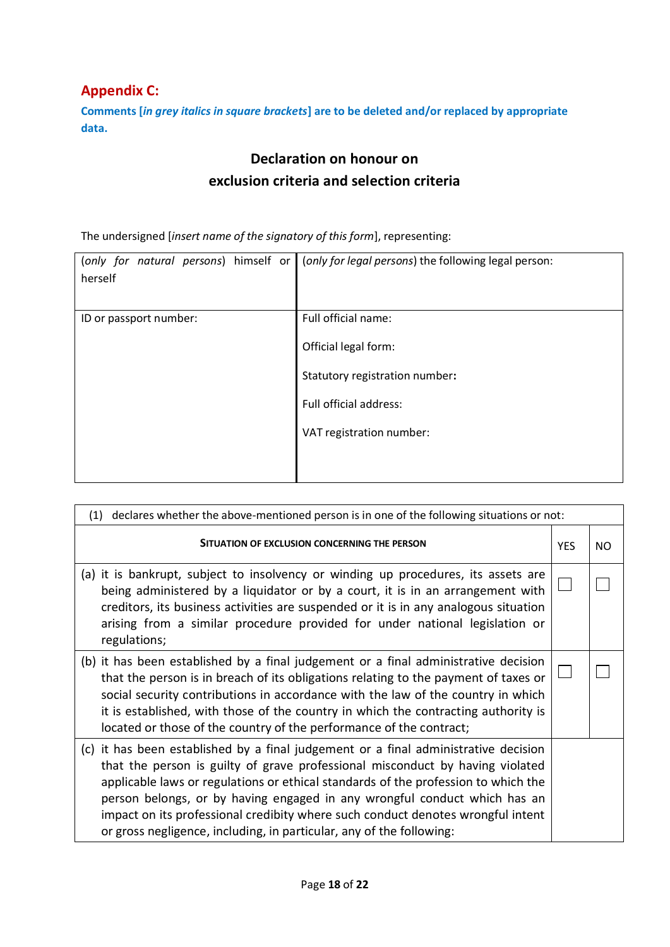# **Appendix C:**

**Comments [***in grey italics in square brackets***] are to be deleted and/or replaced by appropriate data.**

# **Declaration on honour on exclusion criteria and selection criteria**

The undersigned [*insert name of the signatory of this form*], representing:

| (only for natural persons) himself or<br>herself | (only for legal persons) the following legal person: |
|--------------------------------------------------|------------------------------------------------------|
| ID or passport number:                           | Full official name:                                  |
|                                                  | Official legal form:                                 |
|                                                  | Statutory registration number:                       |
|                                                  | Full official address:                               |
|                                                  | VAT registration number:                             |
|                                                  |                                                      |

| declares whether the above-mentioned person is in one of the following situations or not:<br>(1)                                                                                                                                                                                                                                                                                                                                                                                                   |  |  |  |  |  |
|----------------------------------------------------------------------------------------------------------------------------------------------------------------------------------------------------------------------------------------------------------------------------------------------------------------------------------------------------------------------------------------------------------------------------------------------------------------------------------------------------|--|--|--|--|--|
| SITUATION OF EXCLUSION CONCERNING THE PERSON<br><b>YFS</b>                                                                                                                                                                                                                                                                                                                                                                                                                                         |  |  |  |  |  |
| (a) it is bankrupt, subject to insolvency or winding up procedures, its assets are<br>being administered by a liquidator or by a court, it is in an arrangement with<br>creditors, its business activities are suspended or it is in any analogous situation<br>arising from a similar procedure provided for under national legislation or<br>regulations;                                                                                                                                        |  |  |  |  |  |
| (b) it has been established by a final judgement or a final administrative decision<br>that the person is in breach of its obligations relating to the payment of taxes or<br>social security contributions in accordance with the law of the country in which<br>it is established, with those of the country in which the contracting authority is<br>located or those of the country of the performance of the contract;                                                                        |  |  |  |  |  |
| (c) it has been established by a final judgement or a final administrative decision<br>that the person is guilty of grave professional misconduct by having violated<br>applicable laws or regulations or ethical standards of the profession to which the<br>person belongs, or by having engaged in any wrongful conduct which has an<br>impact on its professional credibity where such conduct denotes wrongful intent<br>or gross negligence, including, in particular, any of the following: |  |  |  |  |  |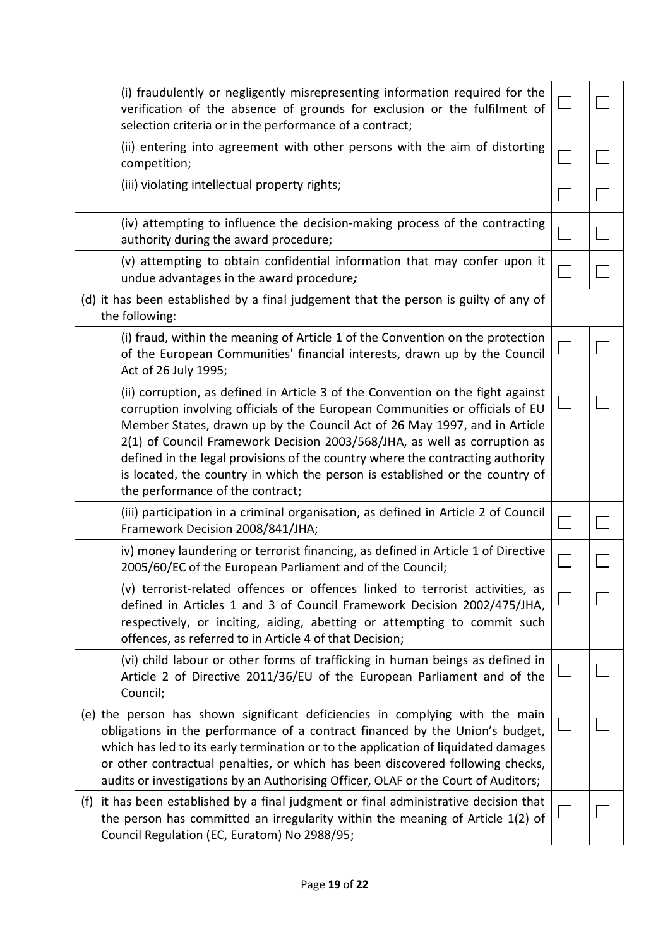| (i) fraudulently or negligently misrepresenting information required for the<br>verification of the absence of grounds for exclusion or the fulfilment of<br>selection criteria or in the performance of a contract;                                                                                                                                                                                                                                                                                                             |  |
|----------------------------------------------------------------------------------------------------------------------------------------------------------------------------------------------------------------------------------------------------------------------------------------------------------------------------------------------------------------------------------------------------------------------------------------------------------------------------------------------------------------------------------|--|
| (ii) entering into agreement with other persons with the aim of distorting<br>competition;                                                                                                                                                                                                                                                                                                                                                                                                                                       |  |
| (iii) violating intellectual property rights;                                                                                                                                                                                                                                                                                                                                                                                                                                                                                    |  |
| (iv) attempting to influence the decision-making process of the contracting<br>authority during the award procedure;                                                                                                                                                                                                                                                                                                                                                                                                             |  |
| (v) attempting to obtain confidential information that may confer upon it<br>undue advantages in the award procedure;                                                                                                                                                                                                                                                                                                                                                                                                            |  |
| (d) it has been established by a final judgement that the person is guilty of any of<br>the following:                                                                                                                                                                                                                                                                                                                                                                                                                           |  |
| (i) fraud, within the meaning of Article 1 of the Convention on the protection<br>of the European Communities' financial interests, drawn up by the Council<br>Act of 26 July 1995;                                                                                                                                                                                                                                                                                                                                              |  |
| (ii) corruption, as defined in Article 3 of the Convention on the fight against<br>corruption involving officials of the European Communities or officials of EU<br>Member States, drawn up by the Council Act of 26 May 1997, and in Article<br>2(1) of Council Framework Decision 2003/568/JHA, as well as corruption as<br>defined in the legal provisions of the country where the contracting authority<br>is located, the country in which the person is established or the country of<br>the performance of the contract; |  |
| (iii) participation in a criminal organisation, as defined in Article 2 of Council<br>Framework Decision 2008/841/JHA;                                                                                                                                                                                                                                                                                                                                                                                                           |  |
| iv) money laundering or terrorist financing, as defined in Article 1 of Directive<br>2005/60/EC of the European Parliament and of the Council;                                                                                                                                                                                                                                                                                                                                                                                   |  |
| (v) terrorist-related offences or offences linked to terrorist activities, as<br>defined in Articles 1 and 3 of Council Framework Decision 2002/475/JHA,<br>respectively, or inciting, aiding, abetting or attempting to commit such<br>offences, as referred to in Article 4 of that Decision;                                                                                                                                                                                                                                  |  |
| (vi) child labour or other forms of trafficking in human beings as defined in<br>Article 2 of Directive 2011/36/EU of the European Parliament and of the<br>Council;                                                                                                                                                                                                                                                                                                                                                             |  |
| (e) the person has shown significant deficiencies in complying with the main<br>obligations in the performance of a contract financed by the Union's budget,<br>which has led to its early termination or to the application of liquidated damages<br>or other contractual penalties, or which has been discovered following checks,<br>audits or investigations by an Authorising Officer, OLAF or the Court of Auditors;                                                                                                       |  |
| (f) it has been established by a final judgment or final administrative decision that<br>the person has committed an irregularity within the meaning of Article 1(2) of<br>Council Regulation (EC, Euratom) No 2988/95;                                                                                                                                                                                                                                                                                                          |  |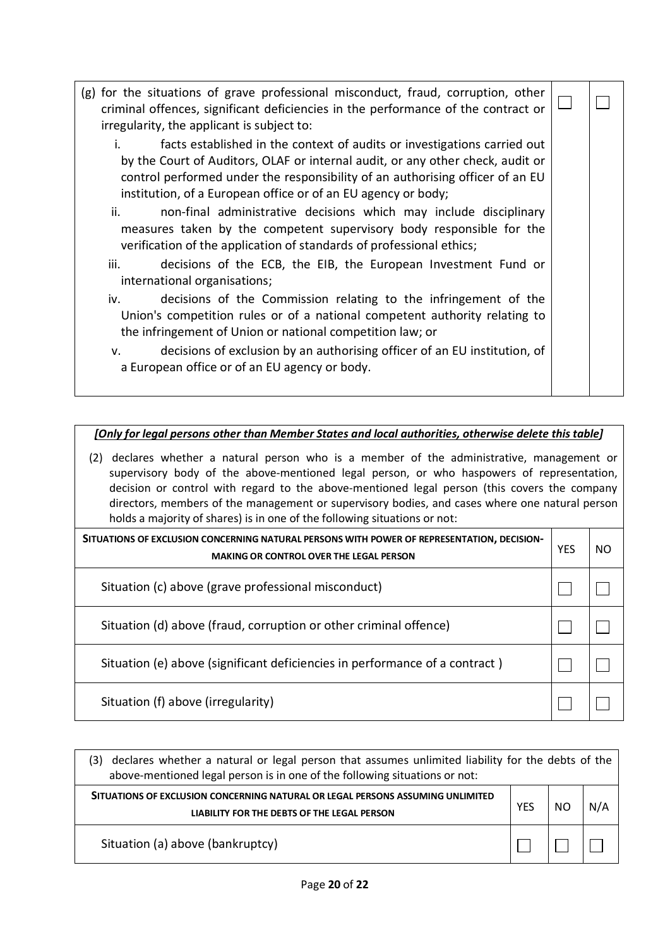| (g) for the situations of grave professional misconduct, fraud, corruption, other<br>criminal offences, significant deficiencies in the performance of the contract or<br>irregularity, the applicant is subject to:                                                                                         |  |
|--------------------------------------------------------------------------------------------------------------------------------------------------------------------------------------------------------------------------------------------------------------------------------------------------------------|--|
| facts established in the context of audits or investigations carried out<br>by the Court of Auditors, OLAF or internal audit, or any other check, audit or<br>control performed under the responsibility of an authorising officer of an EU<br>institution, of a European office or of an EU agency or body; |  |
| non-final administrative decisions which may include disciplinary<br>ii.<br>measures taken by the competent supervisory body responsible for the<br>verification of the application of standards of professional ethics;<br>iii.<br>decisions of the ECB, the EIB, the European Investment Fund or           |  |
| international organisations;                                                                                                                                                                                                                                                                                 |  |
| iv.<br>decisions of the Commission relating to the infringement of the<br>Union's competition rules or of a national competent authority relating to<br>the infringement of Union or national competition law; or                                                                                            |  |
| decisions of exclusion by an authorising officer of an EU institution, of<br>v.<br>a European office or of an EU agency or body.                                                                                                                                                                             |  |

#### *[Only for legal persons other than Member States and local authorities, otherwise delete this table]*

(2) declares whether a natural person who is a member of the administrative, management or supervisory body of the above-mentioned legal person, or who haspowers of representation, decision or control with regard to the above-mentioned legal person (this covers the company directors, members of the management or supervisory bodies, and cases where one natural person holds a majority of shares) is in one of the following situations or not:

| SITUATIONS OF EXCLUSION CONCERNING NATURAL PERSONS WITH POWER OF REPRESENTATION, DECISION-<br><b>MAKING OR CONTROL OVER THE LEGAL PERSON</b> |  |  |  |
|----------------------------------------------------------------------------------------------------------------------------------------------|--|--|--|
| Situation (c) above (grave professional misconduct)                                                                                          |  |  |  |
| Situation (d) above (fraud, corruption or other criminal offence)                                                                            |  |  |  |
| Situation (e) above (significant deficiencies in performance of a contract)                                                                  |  |  |  |
| Situation (f) above (irregularity)                                                                                                           |  |  |  |

| declares whether a natural or legal person that assumes unlimited liability for the debts of the<br>3).<br>above-mentioned legal person is in one of the following situations or not: |  |  |     |  |  |  |
|---------------------------------------------------------------------------------------------------------------------------------------------------------------------------------------|--|--|-----|--|--|--|
| SITUATIONS OF EXCLUSION CONCERNING NATURAL OR LEGAL PERSONS ASSUMING UNLIMITED<br>LIABILITY FOR THE DEBTS OF THE LEGAL PERSON                                                         |  |  | N/A |  |  |  |
| Situation (a) above (bankruptcy)                                                                                                                                                      |  |  |     |  |  |  |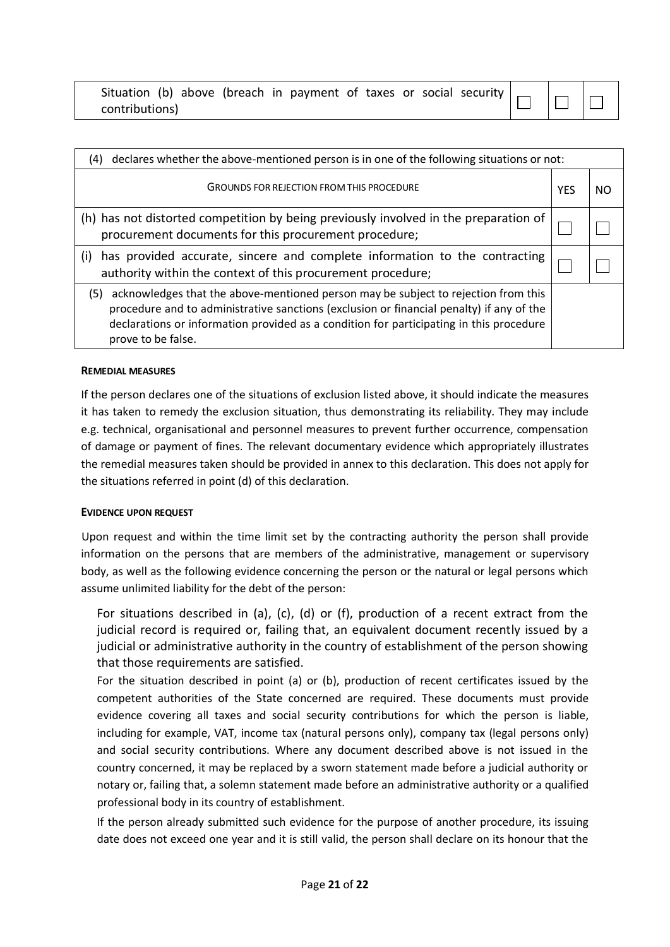| Situation (b) above (breach in payment of taxes or social security $\Box$ |  |  |  |  |  |
|---------------------------------------------------------------------------|--|--|--|--|--|
| contributions)                                                            |  |  |  |  |  |

 $\Box$  $\overline{\phantom{a}}$ 

| declares whether the above-mentioned person is in one of the following situations or not:<br>(4)                                                                                                                                                                                                       |  |  |  |  |
|--------------------------------------------------------------------------------------------------------------------------------------------------------------------------------------------------------------------------------------------------------------------------------------------------------|--|--|--|--|
| <b>GROUNDS FOR REJECTION FROM THIS PROCEDURE</b>                                                                                                                                                                                                                                                       |  |  |  |  |
| (h) has not distorted competition by being previously involved in the preparation of<br>procurement documents for this procurement procedure;                                                                                                                                                          |  |  |  |  |
| has provided accurate, sincere and complete information to the contracting<br>(i)<br>authority within the context of this procurement procedure;                                                                                                                                                       |  |  |  |  |
| acknowledges that the above-mentioned person may be subject to rejection from this<br>(5)<br>procedure and to administrative sanctions (exclusion or financial penalty) if any of the<br>declarations or information provided as a condition for participating in this procedure<br>prove to be false. |  |  |  |  |

#### **REMEDIAL MEASURES**

If the person declares one of the situations of exclusion listed above, it should indicate the measures it has taken to remedy the exclusion situation, thus demonstrating its reliability. They may include e.g. technical, organisational and personnel measures to prevent further occurrence, compensation of damage or payment of fines. The relevant documentary evidence which appropriately illustrates the remedial measures taken should be provided in annex to this declaration. This does not apply for the situations referred in point (d) of this declaration.

#### **EVIDENCE UPON REQUEST**

Upon request and within the time limit set by the contracting authority the person shall provide information on the persons that are members of the administrative, management or supervisory body, as well as the following evidence concerning the person or the natural or legal persons which assume unlimited liability for the debt of the person:

For situations described in (a), (c), (d) or (f), production of a recent extract from the judicial record is required or, failing that, an equivalent document recently issued by a judicial or administrative authority in the country of establishment of the person showing that those requirements are satisfied.

For the situation described in point (a) or (b), production of recent certificates issued by the competent authorities of the State concerned are required. These documents must provide evidence covering all taxes and social security contributions for which the person is liable, including for example, VAT, income tax (natural persons only), company tax (legal persons only) and social security contributions. Where any document described above is not issued in the country concerned, it may be replaced by a sworn statement made before a judicial authority or notary or, failing that, a solemn statement made before an administrative authority or a qualified professional body in its country of establishment.

If the person already submitted such evidence for the purpose of another procedure, its issuing date does not exceed one year and it is still valid, the person shall declare on its honour that the